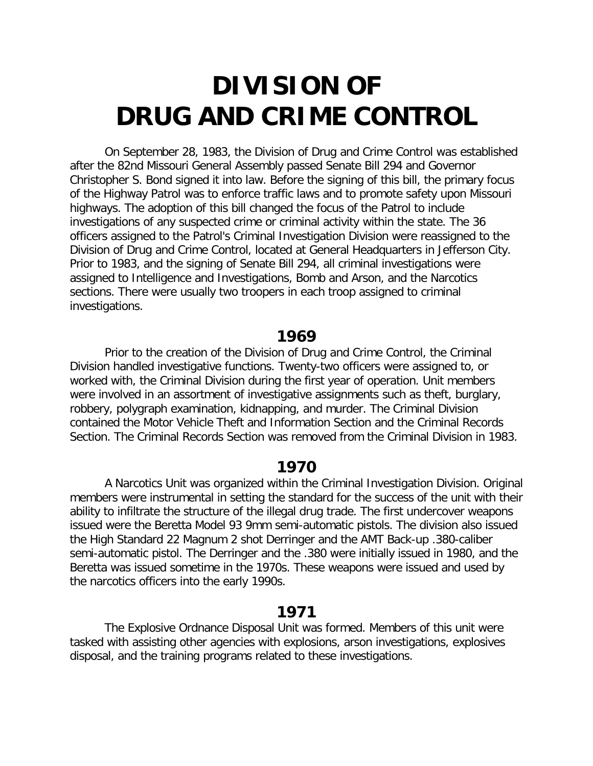# **DIVISION OF DRUG AND CRIME CONTROL**

On September 28, 1983, the Division of Drug and Crime Control was established after the 82nd Missouri General Assembly passed Senate Bill 294 and Governor Christopher S. Bond signed it into law. Before the signing of this bill, the primary focus of the Highway Patrol was to enforce traffic laws and to promote safety upon Missouri highways. The adoption of this bill changed the focus of the Patrol to include investigations of any suspected crime or criminal activity within the state. The 36 officers assigned to the Patrol's Criminal Investigation Division were reassigned to the Division of Drug and Crime Control, located at General Headquarters in Jefferson City. Prior to 1983, and the signing of Senate Bill 294, all criminal investigations were assigned to Intelligence and Investigations, Bomb and Arson, and the Narcotics sections. There were usually two troopers in each troop assigned to criminal investigations.

# **1969**

Prior to the creation of the Division of Drug and Crime Control, the Criminal Division handled investigative functions. Twenty-two officers were assigned to, or worked with, the Criminal Division during the first year of operation. Unit members were involved in an assortment of investigative assignments such as theft, burglary, robbery, polygraph examination, kidnapping, and murder. The Criminal Division contained the Motor Vehicle Theft and Information Section and the Criminal Records Section. The Criminal Records Section was removed from the Criminal Division in 1983.

# **1970**

A Narcotics Unit was organized within the Criminal Investigation Division. Original members were instrumental in setting the standard for the success of the unit with their ability to infiltrate the structure of the illegal drug trade. The first undercover weapons issued were the Beretta Model 93 9mm semi-automatic pistols. The division also issued the High Standard 22 Magnum 2 shot Derringer and the AMT Back-up .380-caliber semi-automatic pistol. The Derringer and the .380 were initially issued in 1980, and the Beretta was issued sometime in the 1970s. These weapons were issued and used by the narcotics officers into the early 1990s.

# **1971**

The Explosive Ordnance Disposal Unit was formed. Members of this unit were tasked with assisting other agencies with explosions, arson investigations, explosives disposal, and the training programs related to these investigations.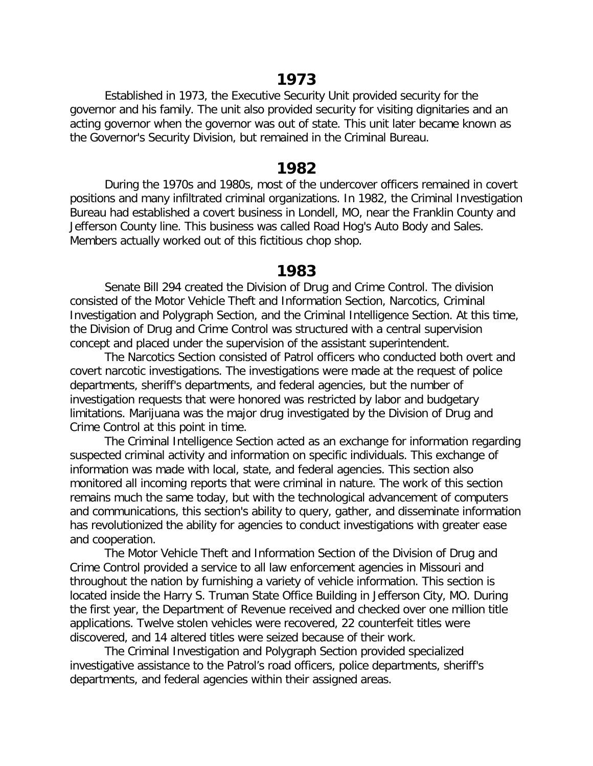## **1973**

Established in 1973, the Executive Security Unit provided security for the governor and his family. The unit also provided security for visiting dignitaries and an acting governor when the governor was out of state. This unit later became known as the Governor's Security Division, but remained in the Criminal Bureau.

## **1982**

During the 1970s and 1980s, most of the undercover officers remained in covert positions and many infiltrated criminal organizations. In 1982, the Criminal Investigation Bureau had established a covert business in Londell, MO, near the Franklin County and Jefferson County line. This business was called Road Hog's Auto Body and Sales. Members actually worked out of this fictitious chop shop.

# **1983**

Senate Bill 294 created the Division of Drug and Crime Control. The division consisted of the Motor Vehicle Theft and Information Section, Narcotics, Criminal Investigation and Polygraph Section, and the Criminal Intelligence Section. At this time, the Division of Drug and Crime Control was structured with a central supervision concept and placed under the supervision of the assistant superintendent.

The Narcotics Section consisted of Patrol officers who conducted both overt and covert narcotic investigations. The investigations were made at the request of police departments, sheriff's departments, and federal agencies, but the number of investigation requests that were honored was restricted by labor and budgetary limitations. Marijuana was the major drug investigated by the Division of Drug and Crime Control at this point in time.

The Criminal Intelligence Section acted as an exchange for information regarding suspected criminal activity and information on specific individuals. This exchange of information was made with local, state, and federal agencies. This section also monitored all incoming reports that were criminal in nature. The work of this section remains much the same today, but with the technological advancement of computers and communications, this section's ability to query, gather, and disseminate information has revolutionized the ability for agencies to conduct investigations with greater ease and cooperation.

The Motor Vehicle Theft and Information Section of the Division of Drug and Crime Control provided a service to all law enforcement agencies in Missouri and throughout the nation by furnishing a variety of vehicle information. This section is located inside the Harry S. Truman State Office Building in Jefferson City, MO. During the first year, the Department of Revenue received and checked over one million title applications. Twelve stolen vehicles were recovered, 22 counterfeit titles were discovered, and 14 altered titles were seized because of their work.

The Criminal Investigation and Polygraph Section provided specialized investigative assistance to the Patrol's road officers, police departments, sheriff's departments, and federal agencies within their assigned areas.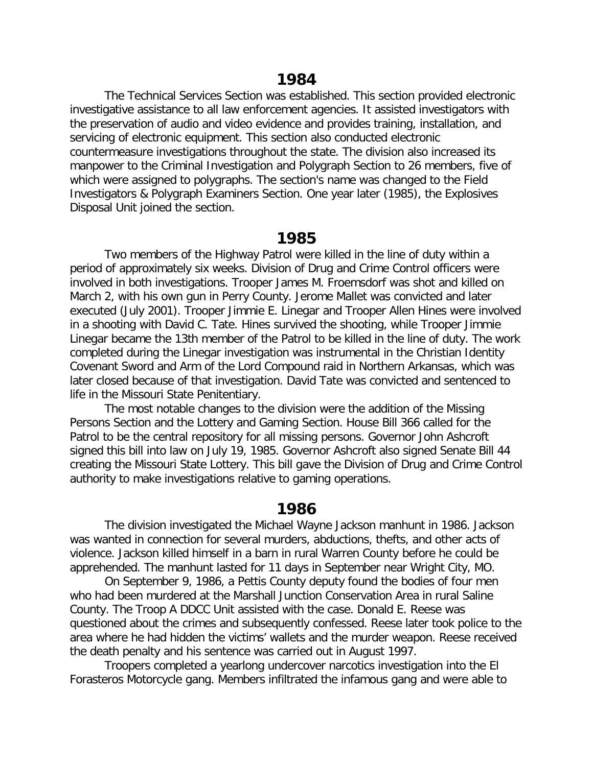The Technical Services Section was established. This section provided electronic investigative assistance to all law enforcement agencies. It assisted investigators with the preservation of audio and video evidence and provides training, installation, and servicing of electronic equipment. This section also conducted electronic countermeasure investigations throughout the state. The division also increased its manpower to the Criminal Investigation and Polygraph Section to 26 members, five of which were assigned to polygraphs. The section's name was changed to the Field Investigators & Polygraph Examiners Section. One year later (1985), the Explosives Disposal Unit joined the section.

## **1985**

Two members of the Highway Patrol were killed in the line of duty within a period of approximately six weeks. Division of Drug and Crime Control officers were involved in both investigations. Trooper James M. Froemsdorf was shot and killed on March 2, with his own gun in Perry County. Jerome Mallet was convicted and later executed (July 2001). Trooper Jimmie E. Linegar and Trooper Allen Hines were involved in a shooting with David C. Tate. Hines survived the shooting, while Trooper Jimmie Linegar became the 13th member of the Patrol to be killed in the line of duty. The work completed during the Linegar investigation was instrumental in the Christian Identity Covenant Sword and Arm of the Lord Compound raid in Northern Arkansas, which was later closed because of that investigation. David Tate was convicted and sentenced to life in the Missouri State Penitentiary.

The most notable changes to the division were the addition of the Missing Persons Section and the Lottery and Gaming Section. House Bill 366 called for the Patrol to be the central repository for all missing persons. Governor John Ashcroft signed this bill into law on July 19, 1985. Governor Ashcroft also signed Senate Bill 44 creating the Missouri State Lottery. This bill gave the Division of Drug and Crime Control authority to make investigations relative to gaming operations.

## **1986**

The division investigated the Michael Wayne Jackson manhunt in 1986. Jackson was wanted in connection for several murders, abductions, thefts, and other acts of violence. Jackson killed himself in a barn in rural Warren County before he could be apprehended. The manhunt lasted for 11 days in September near Wright City, MO.

On September 9, 1986, a Pettis County deputy found the bodies of four men who had been murdered at the Marshall Junction Conservation Area in rural Saline County. The Troop A DDCC Unit assisted with the case. Donald E. Reese was questioned about the crimes and subsequently confessed. Reese later took police to the area where he had hidden the victims' wallets and the murder weapon. Reese received the death penalty and his sentence was carried out in August 1997.

Troopers completed a yearlong undercover narcotics investigation into the El Forasteros Motorcycle gang. Members infiltrated the infamous gang and were able to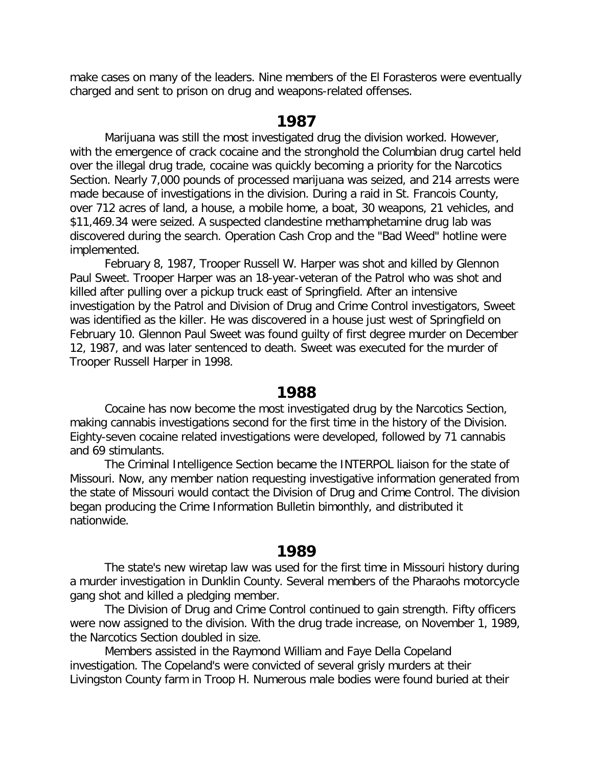make cases on many of the leaders. Nine members of the El Forasteros were eventually charged and sent to prison on drug and weapons-related offenses.

## **1987**

Marijuana was still the most investigated drug the division worked. However, with the emergence of crack cocaine and the stronghold the Columbian drug cartel held over the illegal drug trade, cocaine was quickly becoming a priority for the Narcotics Section. Nearly 7,000 pounds of processed marijuana was seized, and 214 arrests were made because of investigations in the division. During a raid in St. Francois County, over 712 acres of land, a house, a mobile home, a boat, 30 weapons, 21 vehicles, and \$11,469.34 were seized. A suspected clandestine methamphetamine drug lab was discovered during the search. Operation Cash Crop and the "Bad Weed" hotline were implemented.

February 8, 1987, Trooper Russell W. Harper was shot and killed by Glennon Paul Sweet. Trooper Harper was an 18-year-veteran of the Patrol who was shot and killed after pulling over a pickup truck east of Springfield. After an intensive investigation by the Patrol and Division of Drug and Crime Control investigators, Sweet was identified as the killer. He was discovered in a house just west of Springfield on February 10. Glennon Paul Sweet was found guilty of first degree murder on December 12, 1987, and was later sentenced to death. Sweet was executed for the murder of Trooper Russell Harper in 1998.

#### **1988**

Cocaine has now become the most investigated drug by the Narcotics Section, making cannabis investigations second for the first time in the history of the Division. Eighty-seven cocaine related investigations were developed, followed by 71 cannabis and 69 stimulants.

The Criminal Intelligence Section became the INTERPOL liaison for the state of Missouri. Now, any member nation requesting investigative information generated from the state of Missouri would contact the Division of Drug and Crime Control. The division began producing the Crime Information Bulletin bimonthly, and distributed it nationwide.

#### **1989**

The state's new wiretap law was used for the first time in Missouri history during a murder investigation in Dunklin County. Several members of the Pharaohs motorcycle gang shot and killed a pledging member.

The Division of Drug and Crime Control continued to gain strength. Fifty officers were now assigned to the division. With the drug trade increase, on November 1, 1989, the Narcotics Section doubled in size.

Members assisted in the Raymond William and Faye Della Copeland investigation. The Copeland's were convicted of several grisly murders at their Livingston County farm in Troop H. Numerous male bodies were found buried at their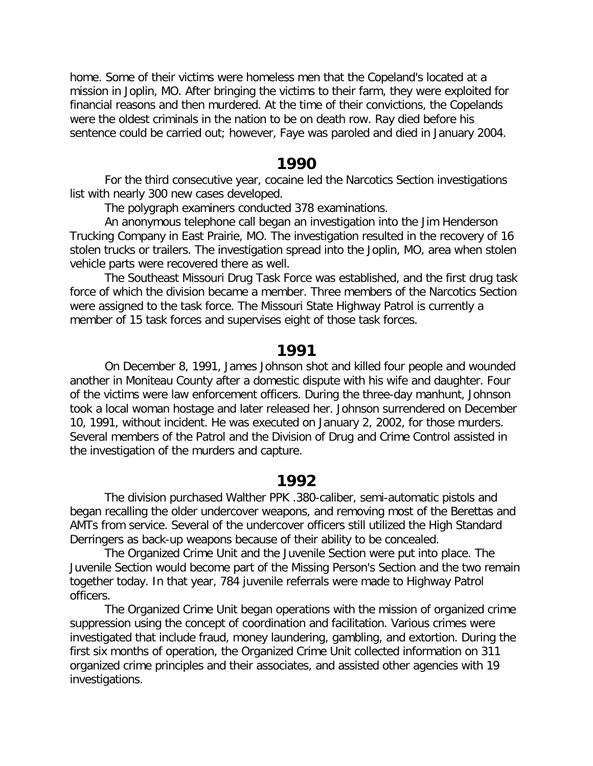home. Some of their victims were homeless men that the Copeland's located at a mission in Joplin, MO. After bringing the victims to their farm, they were exploited for financial reasons and then murdered. At the time of their convictions, the Copelands were the oldest criminals in the nation to be on death row. Ray died before his sentence could be carried out; however, Faye was paroled and died in January 2004.

#### **1990**

For the third consecutive year, cocaine led the Narcotics Section investigations list with nearly 300 new cases developed.

The polygraph examiners conducted 378 examinations.

An anonymous telephone call began an investigation into the Jim Henderson Trucking Company in East Prairie, MO. The investigation resulted in the recovery of 16 stolen trucks or trailers. The investigation spread into the Joplin, MO, area when stolen vehicle parts were recovered there as well.

The Southeast Missouri Drug Task Force was established, and the first drug task force of which the division became a member. Three members of the Narcotics Section were assigned to the task force. The Missouri State Highway Patrol is currently a member of 15 task forces and supervises eight of those task forces.

#### **1991**

On December 8, 1991, James Johnson shot and killed four people and wounded another in Moniteau County after a domestic dispute with his wife and daughter. Four of the victims were law enforcement officers. During the three-day manhunt, Johnson took a local woman hostage and later released her. Johnson surrendered on December 10, 1991, without incident. He was executed on January 2, 2002, for those murders. Several members of the Patrol and the Division of Drug and Crime Control assisted in the investigation of the murders and capture.

#### **1992**

The division purchased Walther PPK .380-caliber, semi-automatic pistols and began recalling the older undercover weapons, and removing most of the Berettas and AMTs from service. Several of the undercover officers still utilized the High Standard Derringers as back-up weapons because of their ability to be concealed.

The Organized Crime Unit and the Juvenile Section were put into place. The Juvenile Section would become part of the Missing Person's Section and the two remain together today. In that year, 784 juvenile referrals were made to Highway Patrol officers.

The Organized Crime Unit began operations with the mission of organized crime suppression using the concept of coordination and facilitation. Various crimes were investigated that include fraud, money laundering, gambling, and extortion. During the first six months of operation, the Organized Crime Unit collected information on 311 organized crime principles and their associates, and assisted other agencies with 19 investigations.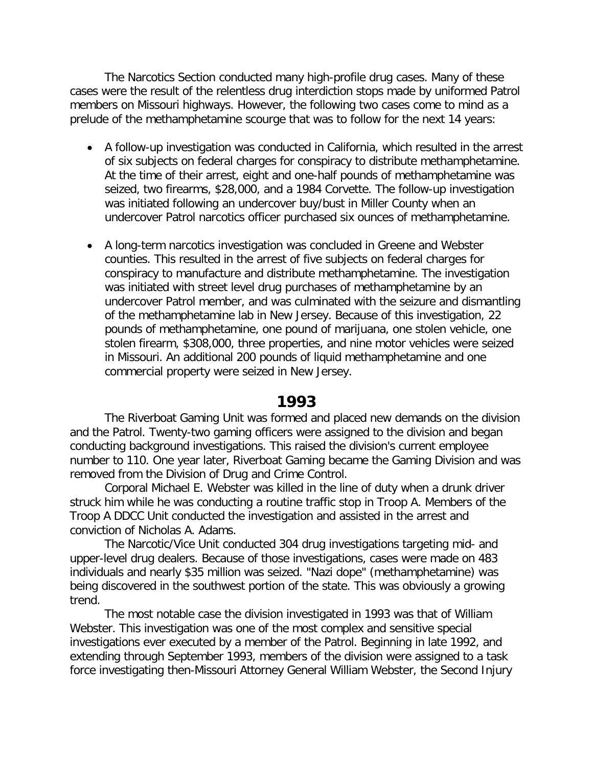The Narcotics Section conducted many high-profile drug cases. Many of these cases were the result of the relentless drug interdiction stops made by uniformed Patrol members on Missouri highways. However, the following two cases come to mind as a prelude of the methamphetamine scourge that was to follow for the next 14 years:

- A follow-up investigation was conducted in California, which resulted in the arrest of six subjects on federal charges for conspiracy to distribute methamphetamine. At the time of their arrest, eight and one-half pounds of methamphetamine was seized, two firearms, \$28,000, and a 1984 Corvette. The follow-up investigation was initiated following an undercover buy/bust in Miller County when an undercover Patrol narcotics officer purchased six ounces of methamphetamine.
- A long-term narcotics investigation was concluded in Greene and Webster counties. This resulted in the arrest of five subjects on federal charges for conspiracy to manufacture and distribute methamphetamine. The investigation was initiated with street level drug purchases of methamphetamine by an undercover Patrol member, and was culminated with the seizure and dismantling of the methamphetamine lab in New Jersey. Because of this investigation, 22 pounds of methamphetamine, one pound of marijuana, one stolen vehicle, one stolen firearm, \$308,000, three properties, and nine motor vehicles were seized in Missouri. An additional 200 pounds of liquid methamphetamine and one commercial property were seized in New Jersey.

#### **1993**

The Riverboat Gaming Unit was formed and placed new demands on the division and the Patrol. Twenty-two gaming officers were assigned to the division and began conducting background investigations. This raised the division's current employee number to 110. One year later, Riverboat Gaming became the Gaming Division and was removed from the Division of Drug and Crime Control.

Corporal Michael E. Webster was killed in the line of duty when a drunk driver struck him while he was conducting a routine traffic stop in Troop A. Members of the Troop A DDCC Unit conducted the investigation and assisted in the arrest and conviction of Nicholas A. Adams.

The Narcotic/Vice Unit conducted 304 drug investigations targeting mid- and upper-level drug dealers. Because of those investigations, cases were made on 483 individuals and nearly \$35 million was seized. "Nazi dope" (methamphetamine) was being discovered in the southwest portion of the state. This was obviously a growing trend.

The most notable case the division investigated in 1993 was that of William Webster. This investigation was one of the most complex and sensitive special investigations ever executed by a member of the Patrol. Beginning in late 1992, and extending through September 1993, members of the division were assigned to a task force investigating then-Missouri Attorney General William Webster, the Second Injury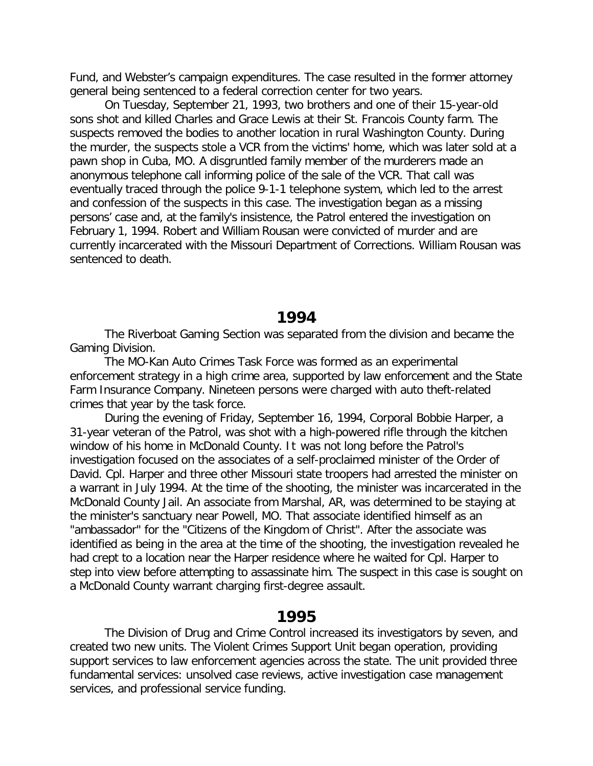Fund, and Webster's campaign expenditures. The case resulted in the former attorney general being sentenced to a federal correction center for two years.

On Tuesday, September 21, 1993, two brothers and one of their 15-year-old sons shot and killed Charles and Grace Lewis at their St. Francois County farm. The suspects removed the bodies to another location in rural Washington County. During the murder, the suspects stole a VCR from the victims' home, which was later sold at a pawn shop in Cuba, MO. A disgruntled family member of the murderers made an anonymous telephone call informing police of the sale of the VCR. That call was eventually traced through the police 9-1-1 telephone system, which led to the arrest and confession of the suspects in this case. The investigation began as a missing persons' case and, at the family's insistence, the Patrol entered the investigation on February 1, 1994. Robert and William Rousan were convicted of murder and are currently incarcerated with the Missouri Department of Corrections. William Rousan was sentenced to death.

#### **1994**

The Riverboat Gaming Section was separated from the division and became the Gaming Division.

The MO-Kan Auto Crimes Task Force was formed as an experimental enforcement strategy in a high crime area, supported by law enforcement and the State Farm Insurance Company. Nineteen persons were charged with auto theft-related crimes that year by the task force.

During the evening of Friday, September 16, 1994, Corporal Bobbie Harper, a 31-year veteran of the Patrol, was shot with a high-powered rifle through the kitchen window of his home in McDonald County. It was not long before the Patrol's investigation focused on the associates of a self-proclaimed minister of the Order of David. Cpl. Harper and three other Missouri state troopers had arrested the minister on a warrant in July 1994. At the time of the shooting, the minister was incarcerated in the McDonald County Jail. An associate from Marshal, AR, was determined to be staying at the minister's sanctuary near Powell, MO. That associate identified himself as an "ambassador" for the "Citizens of the Kingdom of Christ". After the associate was identified as being in the area at the time of the shooting, the investigation revealed he had crept to a location near the Harper residence where he waited for Cpl. Harper to step into view before attempting to assassinate him. The suspect in this case is sought on a McDonald County warrant charging first-degree assault.

## **1995**

The Division of Drug and Crime Control increased its investigators by seven, and created two new units. The Violent Crimes Support Unit began operation, providing support services to law enforcement agencies across the state. The unit provided three fundamental services: unsolved case reviews, active investigation case management services, and professional service funding.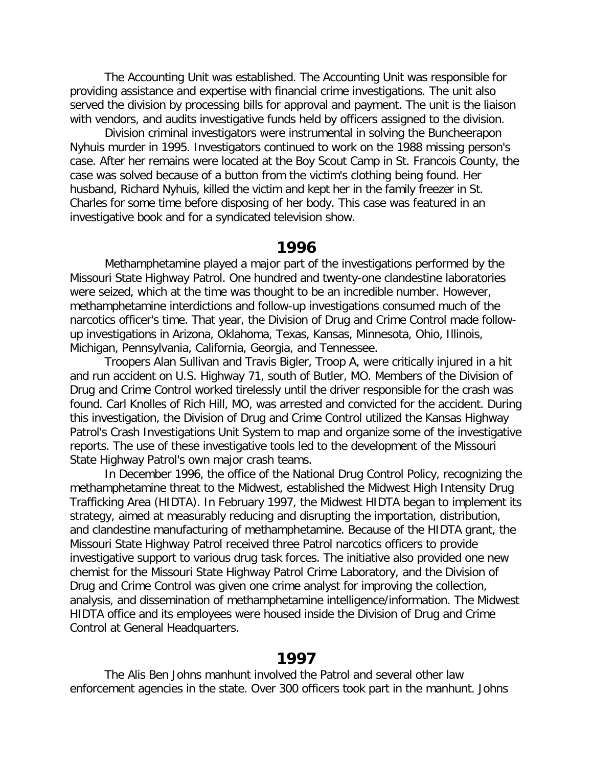The Accounting Unit was established. The Accounting Unit was responsible for providing assistance and expertise with financial crime investigations. The unit also served the division by processing bills for approval and payment. The unit is the liaison with vendors, and audits investigative funds held by officers assigned to the division.

Division criminal investigators were instrumental in solving the Buncheerapon Nyhuis murder in 1995. Investigators continued to work on the 1988 missing person's case. After her remains were located at the Boy Scout Camp in St. Francois County, the case was solved because of a button from the victim's clothing being found. Her husband, Richard Nyhuis, killed the victim and kept her in the family freezer in St. Charles for some time before disposing of her body. This case was featured in an investigative book and for a syndicated television show.

#### **1996**

Methamphetamine played a major part of the investigations performed by the Missouri State Highway Patrol. One hundred and twenty-one clandestine laboratories were seized, which at the time was thought to be an incredible number. However, methamphetamine interdictions and follow-up investigations consumed much of the narcotics officer's time. That year, the Division of Drug and Crime Control made followup investigations in Arizona, Oklahoma, Texas, Kansas, Minnesota, Ohio, Illinois, Michigan, Pennsylvania, California, Georgia, and Tennessee.

Troopers Alan Sullivan and Travis Bigler, Troop A, were critically injured in a hit and run accident on U.S. Highway 71, south of Butler, MO. Members of the Division of Drug and Crime Control worked tirelessly until the driver responsible for the crash was found. Carl Knolles of Rich Hill, MO, was arrested and convicted for the accident. During this investigation, the Division of Drug and Crime Control utilized the Kansas Highway Patrol's Crash Investigations Unit System to map and organize some of the investigative reports. The use of these investigative tools led to the development of the Missouri State Highway Patrol's own major crash teams.

In December 1996, the office of the National Drug Control Policy, recognizing the methamphetamine threat to the Midwest, established the Midwest High Intensity Drug Trafficking Area (HIDTA). In February 1997, the Midwest HIDTA began to implement its strategy, aimed at measurably reducing and disrupting the importation, distribution, and clandestine manufacturing of methamphetamine. Because of the HIDTA grant, the Missouri State Highway Patrol received three Patrol narcotics officers to provide investigative support to various drug task forces. The initiative also provided one new chemist for the Missouri State Highway Patrol Crime Laboratory, and the Division of Drug and Crime Control was given one crime analyst for improving the collection, analysis, and dissemination of methamphetamine intelligence/information. The Midwest HIDTA office and its employees were housed inside the Division of Drug and Crime Control at General Headquarters.

#### **1997**

The Alis Ben Johns manhunt involved the Patrol and several other law enforcement agencies in the state. Over 300 officers took part in the manhunt. Johns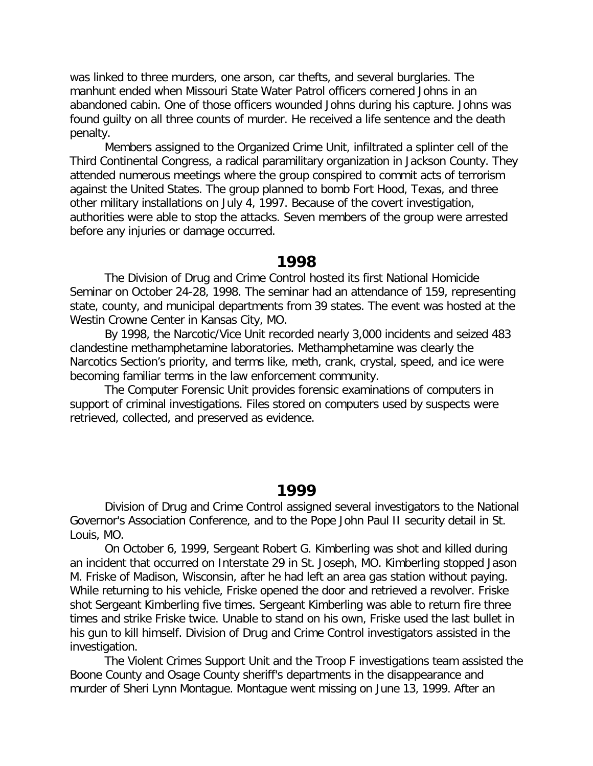was linked to three murders, one arson, car thefts, and several burglaries. The manhunt ended when Missouri State Water Patrol officers cornered Johns in an abandoned cabin. One of those officers wounded Johns during his capture. Johns was found guilty on all three counts of murder. He received a life sentence and the death penalty.

Members assigned to the Organized Crime Unit, infiltrated a splinter cell of the Third Continental Congress, a radical paramilitary organization in Jackson County. They attended numerous meetings where the group conspired to commit acts of terrorism against the United States. The group planned to bomb Fort Hood, Texas, and three other military installations on July 4, 1997. Because of the covert investigation, authorities were able to stop the attacks. Seven members of the group were arrested before any injuries or damage occurred.

#### **1998**

The Division of Drug and Crime Control hosted its first National Homicide Seminar on October 24-28, 1998. The seminar had an attendance of 159, representing state, county, and municipal departments from 39 states. The event was hosted at the Westin Crowne Center in Kansas City, MO.

By 1998, the Narcotic/Vice Unit recorded nearly 3,000 incidents and seized 483 clandestine methamphetamine laboratories. Methamphetamine was clearly the Narcotics Section's priority, and terms like, meth, crank, crystal, speed, and ice were becoming familiar terms in the law enforcement community.

The Computer Forensic Unit provides forensic examinations of computers in support of criminal investigations. Files stored on computers used by suspects were retrieved, collected, and preserved as evidence.

#### **1999**

Division of Drug and Crime Control assigned several investigators to the National Governor's Association Conference, and to the Pope John Paul II security detail in St. Louis, MO.

On October 6, 1999, Sergeant Robert G. Kimberling was shot and killed during an incident that occurred on Interstate 29 in St. Joseph, MO. Kimberling stopped Jason M. Friske of Madison, Wisconsin, after he had left an area gas station without paying. While returning to his vehicle, Friske opened the door and retrieved a revolver. Friske shot Sergeant Kimberling five times. Sergeant Kimberling was able to return fire three times and strike Friske twice. Unable to stand on his own, Friske used the last bullet in his gun to kill himself. Division of Drug and Crime Control investigators assisted in the investigation.

The Violent Crimes Support Unit and the Troop F investigations team assisted the Boone County and Osage County sheriff's departments in the disappearance and murder of Sheri Lynn Montague. Montague went missing on June 13, 1999. After an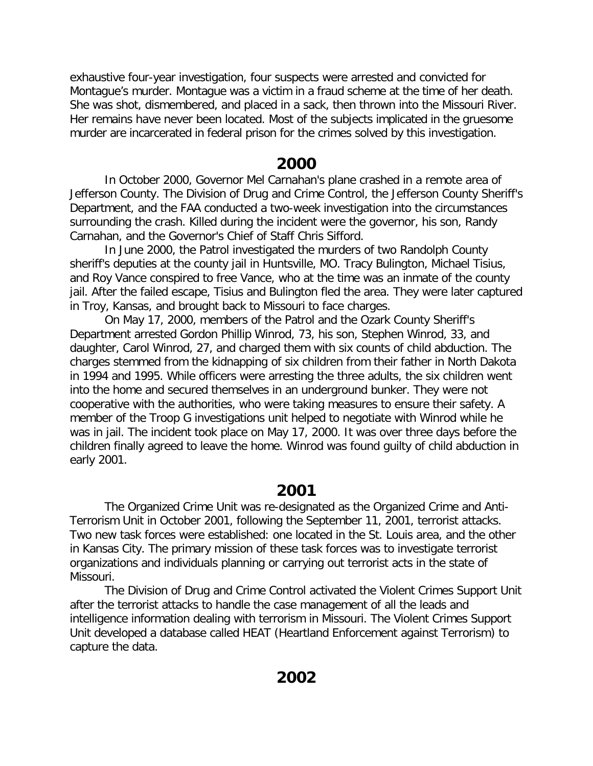exhaustive four-year investigation, four suspects were arrested and convicted for Montague's murder. Montague was a victim in a fraud scheme at the time of her death. She was shot, dismembered, and placed in a sack, then thrown into the Missouri River. Her remains have never been located. Most of the subjects implicated in the gruesome murder are incarcerated in federal prison for the crimes solved by this investigation.

## **2000**

In October 2000, Governor Mel Carnahan's plane crashed in a remote area of Jefferson County. The Division of Drug and Crime Control, the Jefferson County Sheriff's Department, and the FAA conducted a two-week investigation into the circumstances surrounding the crash. Killed during the incident were the governor, his son, Randy Carnahan, and the Governor's Chief of Staff Chris Sifford.

In June 2000, the Patrol investigated the murders of two Randolph County sheriff's deputies at the county jail in Huntsville, MO. Tracy Bulington, Michael Tisius, and Roy Vance conspired to free Vance, who at the time was an inmate of the county jail. After the failed escape, Tisius and Bulington fled the area. They were later captured in Troy, Kansas, and brought back to Missouri to face charges.

On May 17, 2000, members of the Patrol and the Ozark County Sheriff's Department arrested Gordon Phillip Winrod, 73, his son, Stephen Winrod, 33, and daughter, Carol Winrod, 27, and charged them with six counts of child abduction. The charges stemmed from the kidnapping of six children from their father in North Dakota in 1994 and 1995. While officers were arresting the three adults, the six children went into the home and secured themselves in an underground bunker. They were not cooperative with the authorities, who were taking measures to ensure their safety. A member of the Troop G investigations unit helped to negotiate with Winrod while he was in jail. The incident took place on May 17, 2000. It was over three days before the children finally agreed to leave the home. Winrod was found guilty of child abduction in early 2001.

# **2001**

The Organized Crime Unit was re-designated as the Organized Crime and Anti-Terrorism Unit in October 2001, following the September 11, 2001, terrorist attacks. Two new task forces were established: one located in the St. Louis area, and the other in Kansas City. The primary mission of these task forces was to investigate terrorist organizations and individuals planning or carrying out terrorist acts in the state of Missouri.

The Division of Drug and Crime Control activated the Violent Crimes Support Unit after the terrorist attacks to handle the case management of all the leads and intelligence information dealing with terrorism in Missouri. The Violent Crimes Support Unit developed a database called HEAT (Heartland Enforcement against Terrorism) to capture the data.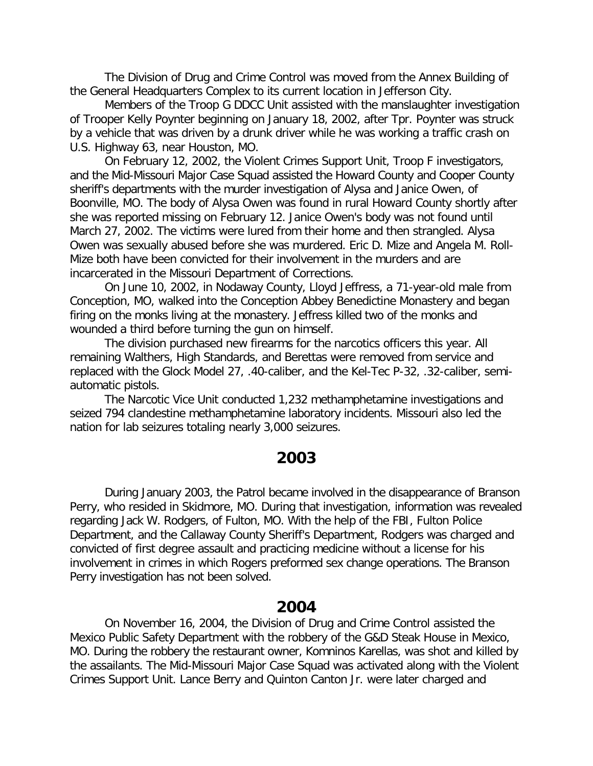The Division of Drug and Crime Control was moved from the Annex Building of the General Headquarters Complex to its current location in Jefferson City.

Members of the Troop G DDCC Unit assisted with the manslaughter investigation of Trooper Kelly Poynter beginning on January 18, 2002, after Tpr. Poynter was struck by a vehicle that was driven by a drunk driver while he was working a traffic crash on U.S. Highway 63, near Houston, MO.

On February 12, 2002, the Violent Crimes Support Unit, Troop F investigators, and the Mid-Missouri Major Case Squad assisted the Howard County and Cooper County sheriff's departments with the murder investigation of Alysa and Janice Owen, of Boonville, MO. The body of Alysa Owen was found in rural Howard County shortly after she was reported missing on February 12. Janice Owen's body was not found until March 27, 2002. The victims were lured from their home and then strangled. Alysa Owen was sexually abused before she was murdered. Eric D. Mize and Angela M. Roll-Mize both have been convicted for their involvement in the murders and are incarcerated in the Missouri Department of Corrections.

On June 10, 2002, in Nodaway County, Lloyd Jeffress, a 71-year-old male from Conception, MO, walked into the Conception Abbey Benedictine Monastery and began firing on the monks living at the monastery. Jeffress killed two of the monks and wounded a third before turning the gun on himself.

The division purchased new firearms for the narcotics officers this year. All remaining Walthers, High Standards, and Berettas were removed from service and replaced with the Glock Model 27, .40-caliber, and the Kel-Tec P-32, .32-caliber, semiautomatic pistols.

The Narcotic Vice Unit conducted 1,232 methamphetamine investigations and seized 794 clandestine methamphetamine laboratory incidents. Missouri also led the nation for lab seizures totaling nearly 3,000 seizures.

## **2003**

During January 2003, the Patrol became involved in the disappearance of Branson Perry, who resided in Skidmore, MO. During that investigation, information was revealed regarding Jack W. Rodgers, of Fulton, MO. With the help of the FBI, Fulton Police Department, and the Callaway County Sheriff's Department, Rodgers was charged and convicted of first degree assault and practicing medicine without a license for his involvement in crimes in which Rogers preformed sex change operations. The Branson Perry investigation has not been solved.

#### **2004**

On November 16, 2004, the Division of Drug and Crime Control assisted the Mexico Public Safety Department with the robbery of the G&D Steak House in Mexico, MO. During the robbery the restaurant owner, Komninos Karellas, was shot and killed by the assailants. The Mid-Missouri Major Case Squad was activated along with the Violent Crimes Support Unit. Lance Berry and Quinton Canton Jr. were later charged and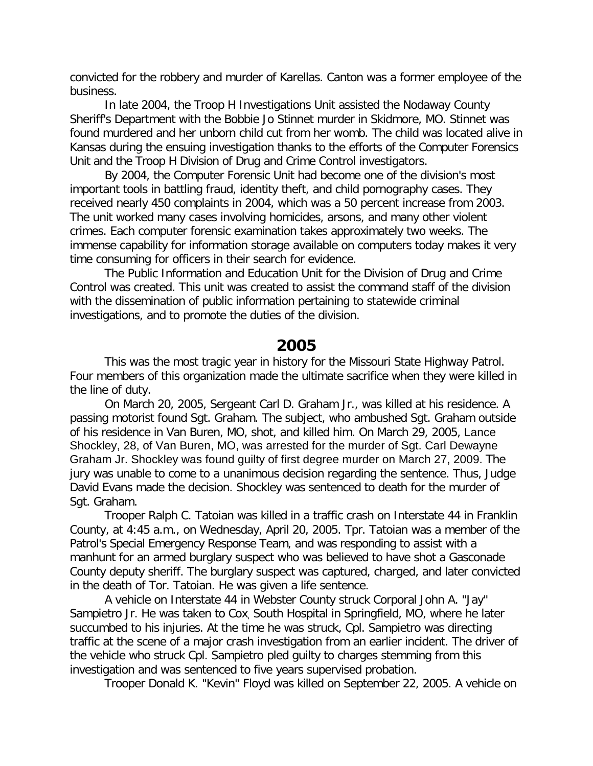convicted for the robbery and murder of Karellas. Canton was a former employee of the business.

In late 2004, the Troop H Investigations Unit assisted the Nodaway County Sheriff's Department with the Bobbie Jo Stinnet murder in Skidmore, MO. Stinnet was found murdered and her unborn child cut from her womb. The child was located alive in Kansas during the ensuing investigation thanks to the efforts of the Computer Forensics Unit and the Troop H Division of Drug and Crime Control investigators.

By 2004, the Computer Forensic Unit had become one of the division's most important tools in battling fraud, identity theft, and child pornography cases. They received nearly 450 complaints in 2004, which was a 50 percent increase from 2003. The unit worked many cases involving homicides, arsons, and many other violent crimes. Each computer forensic examination takes approximately two weeks. The immense capability for information storage available on computers today makes it very time consuming for officers in their search for evidence.

The Public Information and Education Unit for the Division of Drug and Crime Control was created. This unit was created to assist the command staff of the division with the dissemination of public information pertaining to statewide criminal investigations, and to promote the duties of the division.

# **2005**

This was the most tragic year in history for the Missouri State Highway Patrol. Four members of this organization made the ultimate sacrifice when they were killed in the line of duty.

On March 20, 2005, Sergeant Carl D. Graham Jr., was killed at his residence. A passing motorist found Sgt. Graham. The subject, who ambushed Sgt. Graham outside of his residence in Van Buren, MO, shot, and killed him. On March 29, 2005, Lance Shockley, 28, of Van Buren, MO, was arrested for the murder of Sgt. Carl Dewayne Graham Jr. Shockley was found guilty of first degree murder on March 27, 2009. The jury was unable to come to a unanimous decision regarding the sentence. Thus, Judge David Evans made the decision. Shockley was sentenced to death for the murder of Sgt. Graham.

Trooper Ralph C. Tatoian was killed in a traffic crash on Interstate 44 in Franklin County, at 4:45 a.m., on Wednesday, April 20, 2005. Tpr. Tatoian was a member of the Patrol's Special Emergency Response Team, and was responding to assist with a manhunt for an armed burglary suspect who was believed to have shot a Gasconade County deputy sheriff. The burglary suspect was captured, charged, and later convicted in the death of Tor. Tatoian. He was given a life sentence.

A vehicle on Interstate 44 in Webster County struck Corporal John A. "Jay" Sampietro Jr. He was taken to Cox, South Hospital in Springfield, MO, where he later succumbed to his injuries. At the time he was struck, Cpl. Sampietro was directing traffic at the scene of a major crash investigation from an earlier incident. The driver of the vehicle who struck Cpl. Sampietro pled guilty to charges stemming from this investigation and was sentenced to five years supervised probation.

Trooper Donald K. "Kevin" Floyd was killed on September 22, 2005. A vehicle on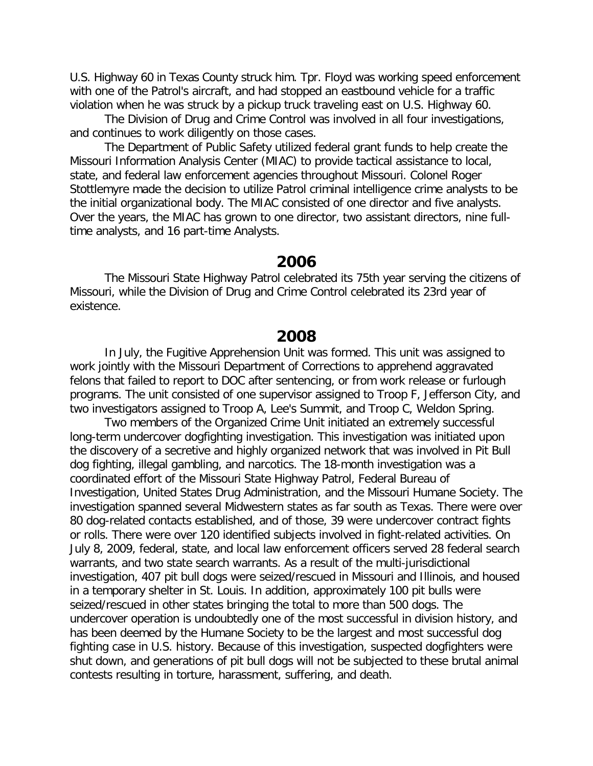U.S. Highway 60 in Texas County struck him. Tpr. Floyd was working speed enforcement with one of the Patrol's aircraft, and had stopped an eastbound vehicle for a traffic violation when he was struck by a pickup truck traveling east on U.S. Highway 60.

The Division of Drug and Crime Control was involved in all four investigations, and continues to work diligently on those cases.

The Department of Public Safety utilized federal grant funds to help create the Missouri Information Analysis Center (MIAC) to provide tactical assistance to local, state, and federal law enforcement agencies throughout Missouri. Colonel Roger Stottlemyre made the decision to utilize Patrol criminal intelligence crime analysts to be the initial organizational body. The MIAC consisted of one director and five analysts. Over the years, the MIAC has grown to one director, two assistant directors, nine fulltime analysts, and 16 part-time Analysts.

## **2006**

The Missouri State Highway Patrol celebrated its 75th year serving the citizens of Missouri, while the Division of Drug and Crime Control celebrated its 23rd year of existence.

#### **2008**

In July, the Fugitive Apprehension Unit was formed. This unit was assigned to work jointly with the Missouri Department of Corrections to apprehend aggravated felons that failed to report to DOC after sentencing, or from work release or furlough programs. The unit consisted of one supervisor assigned to Troop F, Jefferson City, and two investigators assigned to Troop A, Lee's Summit, and Troop C, Weldon Spring.

Two members of the Organized Crime Unit initiated an extremely successful long-term undercover dogfighting investigation. This investigation was initiated upon the discovery of a secretive and highly organized network that was involved in Pit Bull dog fighting, illegal gambling, and narcotics. The 18-month investigation was a coordinated effort of the Missouri State Highway Patrol, Federal Bureau of Investigation, United States Drug Administration, and the Missouri Humane Society. The investigation spanned several Midwestern states as far south as Texas. There were over 80 dog-related contacts established, and of those, 39 were undercover contract fights or rolls. There were over 120 identified subjects involved in fight-related activities. On July 8, 2009, federal, state, and local law enforcement officers served 28 federal search warrants, and two state search warrants. As a result of the multi-jurisdictional investigation, 407 pit bull dogs were seized/rescued in Missouri and Illinois, and housed in a temporary shelter in St. Louis. In addition, approximately 100 pit bulls were seized/rescued in other states bringing the total to more than 500 dogs. The undercover operation is undoubtedly one of the most successful in division history, and has been deemed by the Humane Society to be the largest and most successful dog fighting case in U.S. history. Because of this investigation, suspected dogfighters were shut down, and generations of pit bull dogs will not be subjected to these brutal animal contests resulting in torture, harassment, suffering, and death.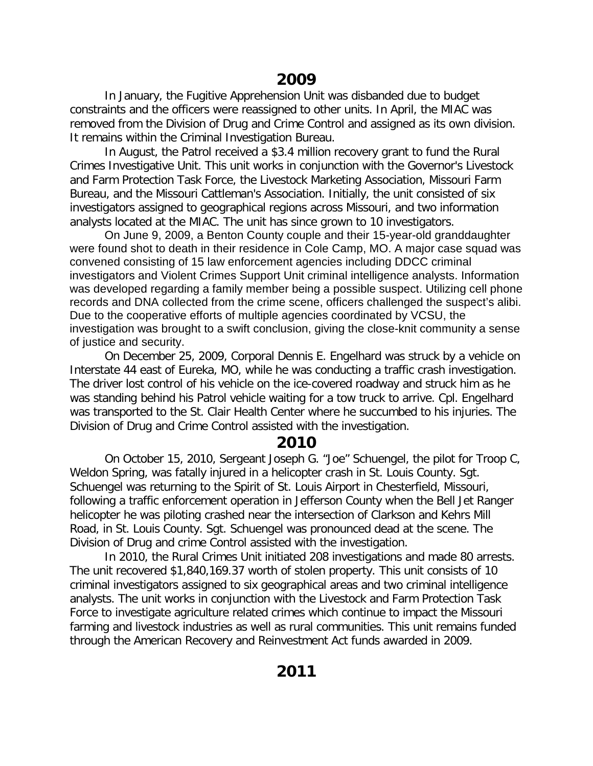In January, the Fugitive Apprehension Unit was disbanded due to budget constraints and the officers were reassigned to other units. In April, the MIAC was removed from the Division of Drug and Crime Control and assigned as its own division. It remains within the Criminal Investigation Bureau.

In August, the Patrol received a \$3.4 million recovery grant to fund the Rural Crimes Investigative Unit. This unit works in conjunction with the Governor's Livestock and Farm Protection Task Force, the Livestock Marketing Association, Missouri Farm Bureau, and the Missouri Cattleman's Association. Initially, the unit consisted of six investigators assigned to geographical regions across Missouri, and two information analysts located at the MIAC. The unit has since grown to 10 investigators.

On June 9, 2009, a Benton County couple and their 15-year-old granddaughter were found shot to death in their residence in Cole Camp, MO. A major case squad was convened consisting of 15 law enforcement agencies including DDCC criminal investigators and Violent Crimes Support Unit criminal intelligence analysts. Information was developed regarding a family member being a possible suspect. Utilizing cell phone records and DNA collected from the crime scene, officers challenged the suspect's alibi. Due to the cooperative efforts of multiple agencies coordinated by VCSU, the investigation was brought to a swift conclusion, giving the close-knit community a sense of justice and security.

On December 25, 2009, Corporal Dennis E. Engelhard was struck by a vehicle on Interstate 44 east of Eureka, MO, while he was conducting a traffic crash investigation. The driver lost control of his vehicle on the ice-covered roadway and struck him as he was standing behind his Patrol vehicle waiting for a tow truck to arrive. Cpl. Engelhard was transported to the St. Clair Health Center where he succumbed to his injuries. The Division of Drug and Crime Control assisted with the investigation.

# **2010**

On October 15, 2010, Sergeant Joseph G. "Joe" Schuengel, the pilot for Troop C, Weldon Spring, was fatally injured in a helicopter crash in St. Louis County. Sgt. Schuengel was returning to the Spirit of St. Louis Airport in Chesterfield, Missouri, following a traffic enforcement operation in Jefferson County when the Bell Jet Ranger helicopter he was piloting crashed near the intersection of Clarkson and Kehrs Mill Road, in St. Louis County. Sgt. Schuengel was pronounced dead at the scene. The Division of Drug and crime Control assisted with the investigation.

In 2010, the Rural Crimes Unit initiated 208 investigations and made 80 arrests. The unit recovered \$1,840,169.37 worth of stolen property. This unit consists of 10 criminal investigators assigned to six geographical areas and two criminal intelligence analysts. The unit works in conjunction with the Livestock and Farm Protection Task Force to investigate agriculture related crimes which continue to impact the Missouri farming and livestock industries as well as rural communities. This unit remains funded through the American Recovery and Reinvestment Act funds awarded in 2009.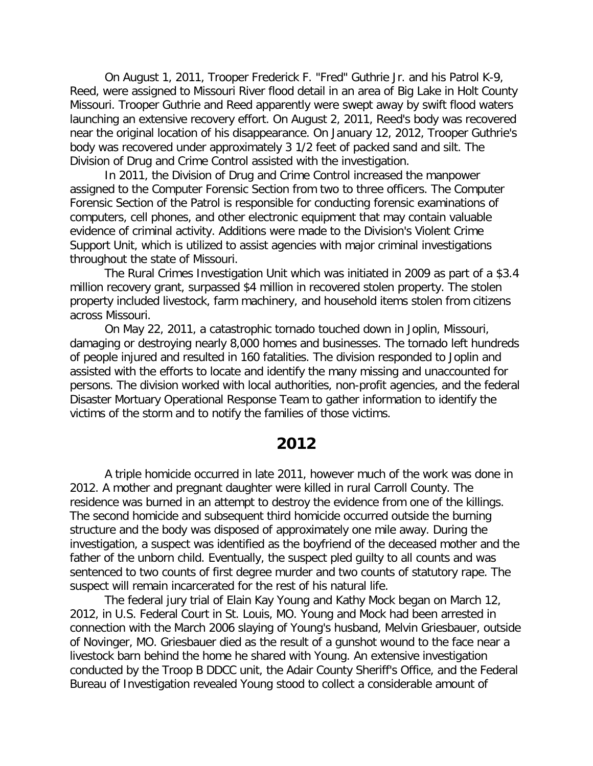On August 1, 2011, Trooper Frederick F. "Fred" Guthrie Jr. and his Patrol K-9, Reed, were assigned to Missouri River flood detail in an area of Big Lake in Holt County Missouri. Trooper Guthrie and Reed apparently were swept away by swift flood waters launching an extensive recovery effort. On August 2, 2011, Reed's body was recovered near the original location of his disappearance. On January 12, 2012, Trooper Guthrie's body was recovered under approximately 3 1/2 feet of packed sand and silt. The Division of Drug and Crime Control assisted with the investigation.

In 2011, the Division of Drug and Crime Control increased the manpower assigned to the Computer Forensic Section from two to three officers. The Computer Forensic Section of the Patrol is responsible for conducting forensic examinations of computers, cell phones, and other electronic equipment that may contain valuable evidence of criminal activity. Additions were made to the Division's Violent Crime Support Unit, which is utilized to assist agencies with major criminal investigations throughout the state of Missouri.

The Rural Crimes Investigation Unit which was initiated in 2009 as part of a \$3.4 million recovery grant, surpassed \$4 million in recovered stolen property. The stolen property included livestock, farm machinery, and household items stolen from citizens across Missouri.

On May 22, 2011, a catastrophic tornado touched down in Joplin, Missouri, damaging or destroying nearly 8,000 homes and businesses. The tornado left hundreds of people injured and resulted in 160 fatalities. The division responded to Joplin and assisted with the efforts to locate and identify the many missing and unaccounted for persons. The division worked with local authorities, non-profit agencies, and the federal Disaster Mortuary Operational Response Team to gather information to identify the victims of the storm and to notify the families of those victims.

## **2012**

A triple homicide occurred in late 2011, however much of the work was done in 2012. A mother and pregnant daughter were killed in rural Carroll County. The residence was burned in an attempt to destroy the evidence from one of the killings. The second homicide and subsequent third homicide occurred outside the burning structure and the body was disposed of approximately one mile away. During the investigation, a suspect was identified as the boyfriend of the deceased mother and the father of the unborn child. Eventually, the suspect pled guilty to all counts and was sentenced to two counts of first degree murder and two counts of statutory rape. The suspect will remain incarcerated for the rest of his natural life.

The federal jury trial of Elain Kay Young and Kathy Mock began on March 12, 2012, in U.S. Federal Court in St. Louis, MO. Young and Mock had been arrested in connection with the March 2006 slaying of Young's husband, Melvin Griesbauer, outside of Novinger, MO. Griesbauer died as the result of a gunshot wound to the face near a livestock barn behind the home he shared with Young. An extensive investigation conducted by the Troop B DDCC unit, the Adair County Sheriff's Office, and the Federal Bureau of Investigation revealed Young stood to collect a considerable amount of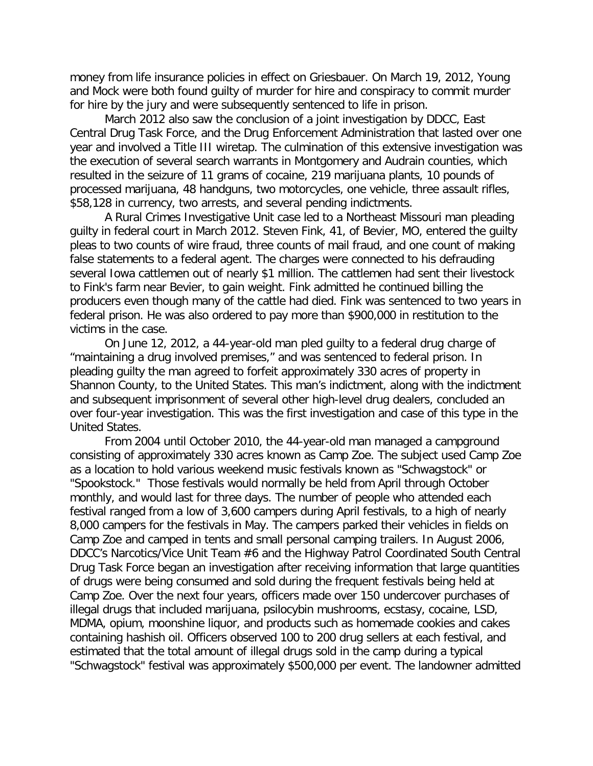money from life insurance policies in effect on Griesbauer. On March 19, 2012, Young and Mock were both found guilty of murder for hire and conspiracy to commit murder for hire by the jury and were subsequently sentenced to life in prison.

March 2012 also saw the conclusion of a joint investigation by DDCC, East Central Drug Task Force, and the Drug Enforcement Administration that lasted over one year and involved a Title III wiretap. The culmination of this extensive investigation was the execution of several search warrants in Montgomery and Audrain counties, which resulted in the seizure of 11 grams of cocaine, 219 marijuana plants, 10 pounds of processed marijuana, 48 handguns, two motorcycles, one vehicle, three assault rifles, \$58,128 in currency, two arrests, and several pending indictments.

A Rural Crimes Investigative Unit case led to a Northeast Missouri man pleading guilty in federal court in March 2012. Steven Fink, 41, of Bevier, MO, entered the guilty pleas to two counts of wire fraud, three counts of mail fraud, and one count of making false statements to a federal agent. The charges were connected to his defrauding several Iowa cattlemen out of nearly \$1 million. The cattlemen had sent their livestock to Fink's farm near Bevier, to gain weight. Fink admitted he continued billing the producers even though many of the cattle had died. Fink was sentenced to two years in federal prison. He was also ordered to pay more than \$900,000 in restitution to the victims in the case.

On June 12, 2012, a 44-year-old man pled guilty to a federal drug charge of "maintaining a drug involved premises," and was sentenced to federal prison. In pleading guilty the man agreed to forfeit approximately 330 acres of property in Shannon County, to the United States. This man's indictment, along with the indictment and subsequent imprisonment of several other high-level drug dealers, concluded an over four-year investigation. This was the first investigation and case of this type in the United States.

From 2004 until October 2010, the 44-year-old man managed a campground consisting of approximately 330 acres known as Camp Zoe. The subject used Camp Zoe as a location to hold various weekend music festivals known as "Schwagstock" or "Spookstock." Those festivals would normally be held from April through October monthly, and would last for three days. The number of people who attended each festival ranged from a low of 3,600 campers during April festivals, to a high of nearly 8,000 campers for the festivals in May. The campers parked their vehicles in fields on Camp Zoe and camped in tents and small personal camping trailers. In August 2006, DDCC's Narcotics/Vice Unit Team #6 and the Highway Patrol Coordinated South Central Drug Task Force began an investigation after receiving information that large quantities of drugs were being consumed and sold during the frequent festivals being held at Camp Zoe. Over the next four years, officers made over 150 undercover purchases of illegal drugs that included marijuana, psilocybin mushrooms, ecstasy, cocaine, LSD, MDMA, opium, moonshine liquor, and products such as homemade cookies and cakes containing hashish oil. Officers observed 100 to 200 drug sellers at each festival, and estimated that the total amount of illegal drugs sold in the camp during a typical "Schwagstock" festival was approximately \$500,000 per event. The landowner admitted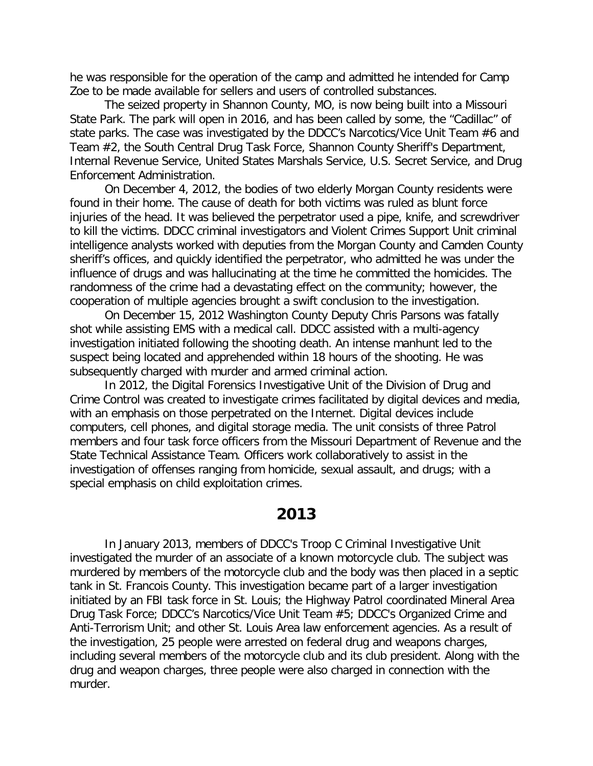he was responsible for the operation of the camp and admitted he intended for Camp Zoe to be made available for sellers and users of controlled substances.

The seized property in Shannon County, MO, is now being built into a Missouri State Park. The park will open in 2016, and has been called by some, the "Cadillac" of state parks. The case was investigated by the DDCC's Narcotics/Vice Unit Team #6 and Team #2, the South Central Drug Task Force, Shannon County Sheriff's Department, Internal Revenue Service, United States Marshals Service, U.S. Secret Service, and Drug Enforcement Administration.

On December 4, 2012, the bodies of two elderly Morgan County residents were found in their home. The cause of death for both victims was ruled as blunt force injuries of the head. It was believed the perpetrator used a pipe, knife, and screwdriver to kill the victims. DDCC criminal investigators and Violent Crimes Support Unit criminal intelligence analysts worked with deputies from the Morgan County and Camden County sheriff's offices, and quickly identified the perpetrator, who admitted he was under the influence of drugs and was hallucinating at the time he committed the homicides. The randomness of the crime had a devastating effect on the community; however, the cooperation of multiple agencies brought a swift conclusion to the investigation.

On December 15, 2012 Washington County Deputy Chris Parsons was fatally shot while assisting EMS with a medical call. DDCC assisted with a multi-agency investigation initiated following the shooting death. An intense manhunt led to the suspect being located and apprehended within 18 hours of the shooting. He was subsequently charged with murder and armed criminal action.

In 2012, the Digital Forensics Investigative Unit of the Division of Drug and Crime Control was created to investigate crimes facilitated by digital devices and media, with an emphasis on those perpetrated on the Internet. Digital devices include computers, cell phones, and digital storage media. The unit consists of three Patrol members and four task force officers from the Missouri Department of Revenue and the State Technical Assistance Team. Officers work collaboratively to assist in the investigation of offenses ranging from homicide, sexual assault, and drugs; with a special emphasis on child exploitation crimes.

# **2013**

In January 2013, members of DDCC's Troop C Criminal Investigative Unit investigated the murder of an associate of a known motorcycle club. The subject was murdered by members of the motorcycle club and the body was then placed in a septic tank in St. Francois County. This investigation became part of a larger investigation initiated by an FBI task force in St. Louis; the Highway Patrol coordinated Mineral Area Drug Task Force; DDCC's Narcotics/Vice Unit Team #5; DDCC's Organized Crime and Anti-Terrorism Unit; and other St. Louis Area law enforcement agencies. As a result of the investigation, 25 people were arrested on federal drug and weapons charges, including several members of the motorcycle club and its club president. Along with the drug and weapon charges, three people were also charged in connection with the murder.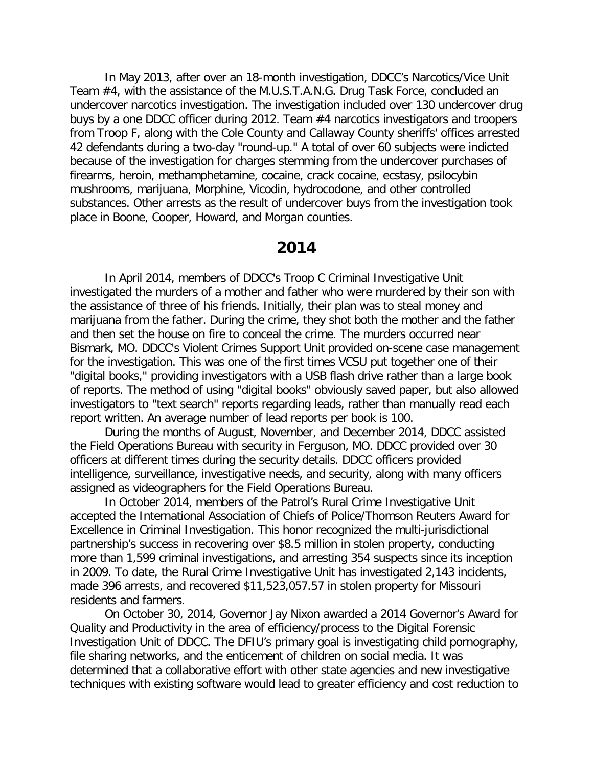In May 2013, after over an 18-month investigation, DDCC's Narcotics/Vice Unit Team #4, with the assistance of the M.U.S.T.A.N.G. Drug Task Force, concluded an undercover narcotics investigation. The investigation included over 130 undercover drug buys by a one DDCC officer during 2012. Team #4 narcotics investigators and troopers from Troop F, along with the Cole County and Callaway County sheriffs' offices arrested 42 defendants during a two-day "round-up." A total of over 60 subjects were indicted because of the investigation for charges stemming from the undercover purchases of firearms, heroin, methamphetamine, cocaine, crack cocaine, ecstasy, psilocybin mushrooms, marijuana, Morphine, Vicodin, hydrocodone, and other controlled substances. Other arrests as the result of undercover buys from the investigation took place in Boone, Cooper, Howard, and Morgan counties.

## **2014**

In April 2014, members of DDCC's Troop C Criminal Investigative Unit investigated the murders of a mother and father who were murdered by their son with the assistance of three of his friends. Initially, their plan was to steal money and marijuana from the father. During the crime, they shot both the mother and the father and then set the house on fire to conceal the crime. The murders occurred near Bismark, MO. DDCC's Violent Crimes Support Unit provided on-scene case management for the investigation. This was one of the first times VCSU put together one of their "digital books," providing investigators with a USB flash drive rather than a large book of reports. The method of using "digital books" obviously saved paper, but also allowed investigators to "text search" reports regarding leads, rather than manually read each report written. An average number of lead reports per book is 100.

During the months of August, November, and December 2014, DDCC assisted the Field Operations Bureau with security in Ferguson, MO. DDCC provided over 30 officers at different times during the security details. DDCC officers provided intelligence, surveillance, investigative needs, and security, along with many officers assigned as videographers for the Field Operations Bureau.

In October 2014, members of the Patrol's Rural Crime Investigative Unit accepted the International Association of Chiefs of Police/Thomson Reuters Award for Excellence in Criminal Investigation. This honor recognized the multi-jurisdictional partnership's success in recovering over \$8.5 million in stolen property, conducting more than 1,599 criminal investigations, and arresting 354 suspects since its inception in 2009. To date, the Rural Crime Investigative Unit has investigated 2,143 incidents, made 396 arrests, and recovered \$11,523,057.57 in stolen property for Missouri residents and farmers.

On October 30, 2014, Governor Jay Nixon awarded a 2014 Governor's Award for Quality and Productivity in the area of efficiency/process to the Digital Forensic Investigation Unit of DDCC. The DFIU's primary goal is investigating child pornography, file sharing networks, and the enticement of children on social media. It was determined that a collaborative effort with other state agencies and new investigative techniques with existing software would lead to greater efficiency and cost reduction to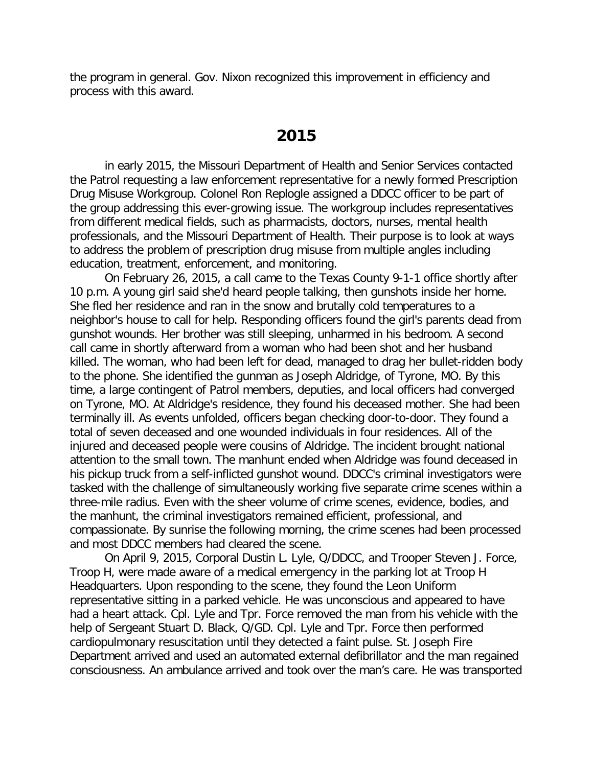the program in general. Gov. Nixon recognized this improvement in efficiency and process with this award.

## **2015**

in early 2015, the Missouri Department of Health and Senior Services contacted the Patrol requesting a law enforcement representative for a newly formed Prescription Drug Misuse Workgroup. Colonel Ron Replogle assigned a DDCC officer to be part of the group addressing this ever-growing issue. The workgroup includes representatives from different medical fields, such as pharmacists, doctors, nurses, mental health professionals, and the Missouri Department of Health. Their purpose is to look at ways to address the problem of prescription drug misuse from multiple angles including education, treatment, enforcement, and monitoring.

On February 26, 2015, a call came to the Texas County 9-1-1 office shortly after 10 p.m. A young girl said she'd heard people talking, then gunshots inside her home. She fled her residence and ran in the snow and brutally cold temperatures to a neighbor's house to call for help. Responding officers found the girl's parents dead from gunshot wounds. Her brother was still sleeping, unharmed in his bedroom. A second call came in shortly afterward from a woman who had been shot and her husband killed. The woman, who had been left for dead, managed to drag her bullet-ridden body to the phone. She identified the gunman as Joseph Aldridge, of Tyrone, MO. By this time, a large contingent of Patrol members, deputies, and local officers had converged on Tyrone, MO. At Aldridge's residence, they found his deceased mother. She had been terminally ill. As events unfolded, officers began checking door-to-door. They found a total of seven deceased and one wounded individuals in four residences. All of the injured and deceased people were cousins of Aldridge. The incident brought national attention to the small town. The manhunt ended when Aldridge was found deceased in his pickup truck from a self-inflicted gunshot wound. DDCC's criminal investigators were tasked with the challenge of simultaneously working five separate crime scenes within a three-mile radius. Even with the sheer volume of crime scenes, evidence, bodies, and the manhunt, the criminal investigators remained efficient, professional, and compassionate. By sunrise the following morning, the crime scenes had been processed and most DDCC members had cleared the scene.

On April 9, 2015, Corporal Dustin L. Lyle, Q/DDCC, and Trooper Steven J. Force, Troop H, were made aware of a medical emergency in the parking lot at Troop H Headquarters. Upon responding to the scene, they found the Leon Uniform representative sitting in a parked vehicle. He was unconscious and appeared to have had a heart attack. Cpl. Lyle and Tpr. Force removed the man from his vehicle with the help of Sergeant Stuart D. Black, Q/GD. Cpl. Lyle and Tpr. Force then performed cardiopulmonary resuscitation until they detected a faint pulse. St. Joseph Fire Department arrived and used an automated external defibrillator and the man regained consciousness. An ambulance arrived and took over the man's care. He was transported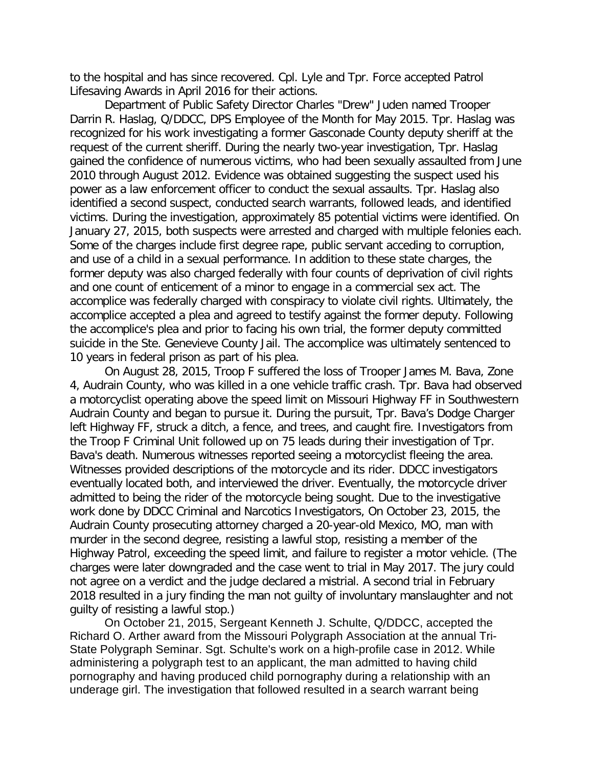to the hospital and has since recovered. Cpl. Lyle and Tpr. Force accepted Patrol Lifesaving Awards in April 2016 for their actions.

Department of Public Safety Director Charles "Drew" Juden named Trooper Darrin R. Haslag, Q/DDCC, DPS Employee of the Month for May 2015. Tpr. Haslag was recognized for his work investigating a former Gasconade County deputy sheriff at the request of the current sheriff. During the nearly two-year investigation, Tpr. Haslag gained the confidence of numerous victims, who had been sexually assaulted from June 2010 through August 2012. Evidence was obtained suggesting the suspect used his power as a law enforcement officer to conduct the sexual assaults. Tpr. Haslag also identified a second suspect, conducted search warrants, followed leads, and identified victims. During the investigation, approximately 85 potential victims were identified. On January 27, 2015, both suspects were arrested and charged with multiple felonies each. Some of the charges include first degree rape, public servant acceding to corruption, and use of a child in a sexual performance. In addition to these state charges, the former deputy was also charged federally with four counts of deprivation of civil rights and one count of enticement of a minor to engage in a commercial sex act. The accomplice was federally charged with conspiracy to violate civil rights. Ultimately, the accomplice accepted a plea and agreed to testify against the former deputy. Following the accomplice's plea and prior to facing his own trial, the former deputy committed suicide in the Ste. Genevieve County Jail. The accomplice was ultimately sentenced to 10 years in federal prison as part of his plea.

On August 28, 2015, Troop F suffered the loss of Trooper James M. Bava, Zone 4, Audrain County, who was killed in a one vehicle traffic crash. Tpr. Bava had observed a motorcyclist operating above the speed limit on Missouri Highway FF in Southwestern Audrain County and began to pursue it. During the pursuit, Tpr. Bava's Dodge Charger left Highway FF, struck a ditch, a fence, and trees, and caught fire. Investigators from the Troop F Criminal Unit followed up on 75 leads during their investigation of Tpr. Bava's death. Numerous witnesses reported seeing a motorcyclist fleeing the area. Witnesses provided descriptions of the motorcycle and its rider. DDCC investigators eventually located both, and interviewed the driver. Eventually, the motorcycle driver admitted to being the rider of the motorcycle being sought. Due to the investigative work done by DDCC Criminal and Narcotics Investigators, On October 23, 2015, the Audrain County prosecuting attorney charged a 20-year-old Mexico, MO, man with murder in the second degree, resisting a lawful stop, resisting a member of the Highway Patrol, exceeding the speed limit, and failure to register a motor vehicle. (The charges were later downgraded and the case went to trial in May 2017. The jury could not agree on a verdict and the judge declared a mistrial. A second trial in February 2018 resulted in a jury finding the man not guilty of involuntary manslaughter and not guilty of resisting a lawful stop.)

On October 21, 2015, Sergeant Kenneth J. Schulte, Q/DDCC, accepted the Richard O. Arther award from the Missouri Polygraph Association at the annual Tri-State Polygraph Seminar. Sgt. Schulte's work on a high-profile case in 2012. While administering a polygraph test to an applicant, the man admitted to having child pornography and having produced child pornography during a relationship with an underage girl. The investigation that followed resulted in a search warrant being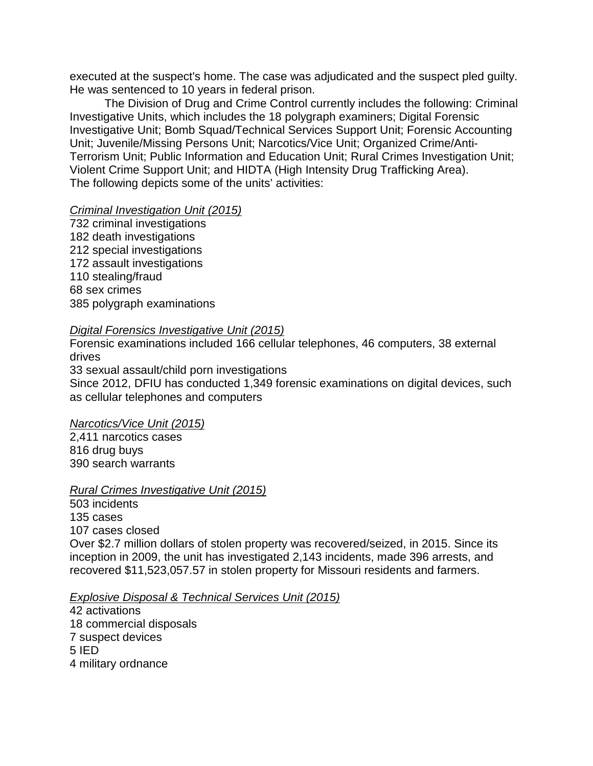executed at the suspect's home. The case was adjudicated and the suspect pled guilty. He was sentenced to 10 years in federal prison.

The Division of Drug and Crime Control currently includes the following: Criminal Investigative Units, which includes the 18 polygraph examiners; Digital Forensic Investigative Unit; Bomb Squad/Technical Services Support Unit; Forensic Accounting Unit; Juvenile/Missing Persons Unit; Narcotics/Vice Unit; Organized Crime/Anti-Terrorism Unit; Public Information and Education Unit; Rural Crimes Investigation Unit; Violent Crime Support Unit; and HIDTA (High Intensity Drug Trafficking Area). The following depicts some of the units' activities:

#### *Criminal Investigation Unit (2015)*

732 criminal investigations 182 death investigations 212 special investigations 172 assault investigations 110 stealing/fraud 68 sex crimes 385 polygraph examinations

#### *Digital Forensics Investigative Unit (2015)*

Forensic examinations included 166 cellular telephones, 46 computers, 38 external drives

33 sexual assault/child porn investigations Since 2012, DFIU has conducted 1,349 forensic examinations on digital devices, such as cellular telephones and computers

#### *Narcotics/Vice Unit (2015)*

2,411 narcotics cases 816 drug buys 390 search warrants

#### *Rural Crimes Investigative Unit (2015)*

503 incidents 135 cases 107 cases closed Over \$2.7 million dollars of stolen property was recovered/seized, in 2015. Since its inception in 2009, the unit has investigated 2,143 incidents, made 396 arrests, and recovered \$11,523,057.57 in stolen property for Missouri residents and farmers.

#### *Explosive Disposal & Technical Services Unit (2015)*

42 activations 18 commercial disposals 7 suspect devices 5 IED 4 military ordnance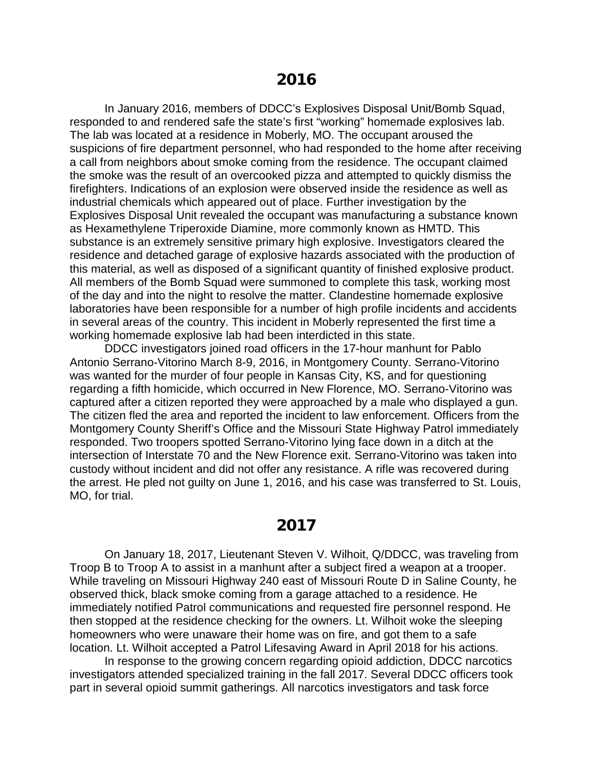In January 2016, members of DDCC's Explosives Disposal Unit/Bomb Squad, responded to and rendered safe the state's first "working" homemade explosives lab. The lab was located at a residence in Moberly, MO. The occupant aroused the suspicions of fire department personnel, who had responded to the home after receiving a call from neighbors about smoke coming from the residence. The occupant claimed the smoke was the result of an overcooked pizza and attempted to quickly dismiss the firefighters. Indications of an explosion were observed inside the residence as well as industrial chemicals which appeared out of place. Further investigation by the Explosives Disposal Unit revealed the occupant was manufacturing a substance known as Hexamethylene Triperoxide Diamine, more commonly known as HMTD. This substance is an extremely sensitive primary high explosive. Investigators cleared the residence and detached garage of explosive hazards associated with the production of this material, as well as disposed of a significant quantity of finished explosive product. All members of the Bomb Squad were summoned to complete this task, working most of the day and into the night to resolve the matter. Clandestine homemade explosive laboratories have been responsible for a number of high profile incidents and accidents in several areas of the country. This incident in Moberly represented the first time a working homemade explosive lab had been interdicted in this state.

DDCC investigators joined road officers in the 17-hour manhunt for Pablo Antonio Serrano-Vitorino March 8-9, 2016, in Montgomery County. Serrano-Vitorino was wanted for the murder of four people in Kansas City, KS, and for questioning regarding a fifth homicide, which occurred in New Florence, MO. Serrano-Vitorino was captured after a citizen reported they were approached by a male who displayed a gun. The citizen fled the area and reported the incident to law enforcement. Officers from the Montgomery County Sheriff's Office and the Missouri State Highway Patrol immediately responded. Two troopers spotted Serrano-Vitorino lying face down in a ditch at the intersection of Interstate 70 and the New Florence exit. Serrano-Vitorino was taken into custody without incident and did not offer any resistance. A rifle was recovered during the arrest. He pled not guilty on June 1, 2016, and his case was transferred to St. Louis, MO, for trial.

# **2017**

On January 18, 2017, Lieutenant Steven V. Wilhoit, Q/DDCC, was traveling from Troop B to Troop A to assist in a manhunt after a subject fired a weapon at a trooper. While traveling on Missouri Highway 240 east of Missouri Route D in Saline County, he observed thick, black smoke coming from a garage attached to a residence. He immediately notified Patrol communications and requested fire personnel respond. He then stopped at the residence checking for the owners. Lt. Wilhoit woke the sleeping homeowners who were unaware their home was on fire, and got them to a safe location. Lt. Wilhoit accepted a Patrol Lifesaving Award in April 2018 for his actions.

In response to the growing concern regarding opioid addiction, DDCC narcotics investigators attended specialized training in the fall 2017. Several DDCC officers took part in several opioid summit gatherings. All narcotics investigators and task force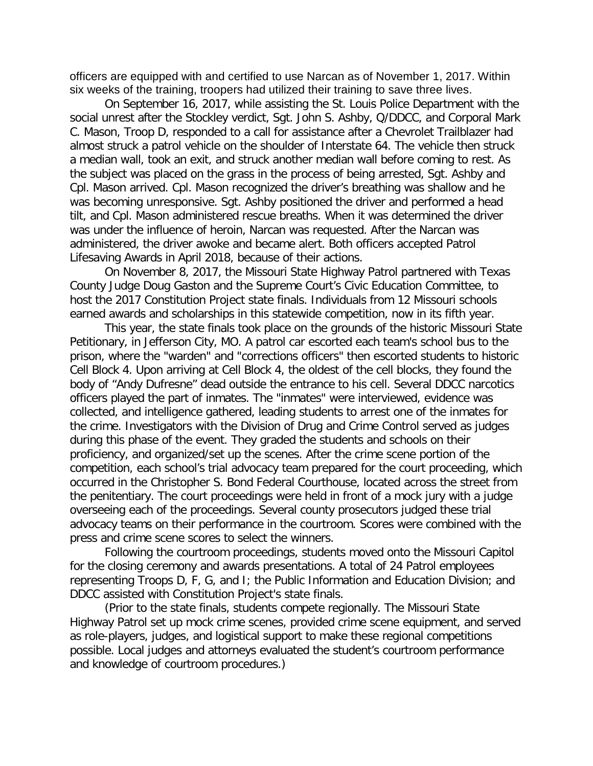officers are equipped with and certified to use Narcan as of November 1, 2017. Within six weeks of the training, troopers had utilized their training to save three lives.

On September 16, 2017, while assisting the St. Louis Police Department with the social unrest after the Stockley verdict, Sgt. John S. Ashby, Q/DDCC, and Corporal Mark C. Mason, Troop D, responded to a call for assistance after a Chevrolet Trailblazer had almost struck a patrol vehicle on the shoulder of Interstate 64. The vehicle then struck a median wall, took an exit, and struck another median wall before coming to rest. As the subject was placed on the grass in the process of being arrested, Sgt. Ashby and Cpl. Mason arrived. Cpl. Mason recognized the driver's breathing was shallow and he was becoming unresponsive. Sgt. Ashby positioned the driver and performed a head tilt, and Cpl. Mason administered rescue breaths. When it was determined the driver was under the influence of heroin, Narcan was requested. After the Narcan was administered, the driver awoke and became alert. Both officers accepted Patrol Lifesaving Awards in April 2018, because of their actions.

On November 8, 2017, the Missouri State Highway Patrol partnered with Texas County Judge Doug Gaston and the Supreme Court's Civic Education Committee, to host the 2017 Constitution Project state finals. Individuals from 12 Missouri schools earned awards and scholarships in this statewide competition, now in its fifth year.

This year, the state finals took place on the grounds of the historic Missouri State Petitionary, in Jefferson City, MO. A patrol car escorted each team's school bus to the prison, where the "warden" and "corrections officers" then escorted students to historic Cell Block 4. Upon arriving at Cell Block 4, the oldest of the cell blocks, they found the body of "Andy Dufresne" dead outside the entrance to his cell. Several DDCC narcotics officers played the part of inmates. The "inmates" were interviewed, evidence was collected, and intelligence gathered, leading students to arrest one of the inmates for the crime. Investigators with the Division of Drug and Crime Control served as judges during this phase of the event. They graded the students and schools on their proficiency, and organized/set up the scenes. After the crime scene portion of the competition, each school's trial advocacy team prepared for the court proceeding, which occurred in the Christopher S. Bond Federal Courthouse, located across the street from the penitentiary. The court proceedings were held in front of a mock jury with a judge overseeing each of the proceedings. Several county prosecutors judged these trial advocacy teams on their performance in the courtroom. Scores were combined with the press and crime scene scores to select the winners.

Following the courtroom proceedings, students moved onto the Missouri Capitol for the closing ceremony and awards presentations. A total of 24 Patrol employees representing Troops D, F, G, and I; the Public Information and Education Division; and DDCC assisted with Constitution Project's state finals.

(Prior to the state finals, students compete regionally. The Missouri State Highway Patrol set up mock crime scenes, provided crime scene equipment, and served as role-players, judges, and logistical support to make these regional competitions possible. Local judges and attorneys evaluated the student's courtroom performance and knowledge of courtroom procedures.)